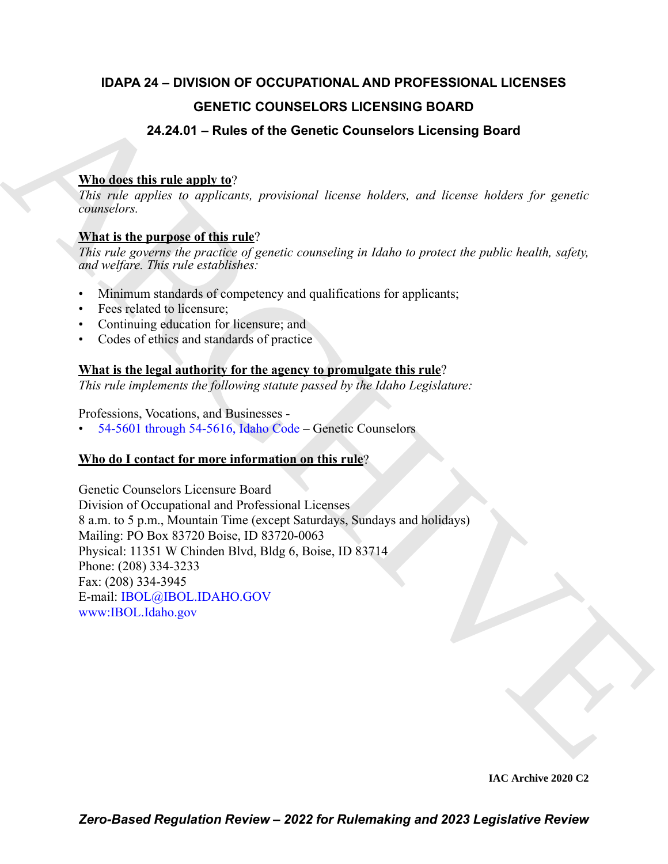## **IDAPA 24 – DIVISION OF OCCUPATIONAL AND PROFESSIONAL LICENSES GENETIC COUNSELORS LICENSING BOARD**

### **24.24.01 – Rules of the Genetic Counselors Licensing Board**

### **Who does this rule apply to**?

*This rule applies to applicants, provisional license holders, and license holders for genetic counselors.*

#### **What is the purpose of this rule**?

*This rule governs the practice of genetic counseling in Idaho to protect the public health, safety, and welfare. This rule establishes:*

- Minimum standards of competency and qualifications for applicants;
- Fees related to licensure;
- Continuing education for licensure; and
- Codes of ethics and standards of practice

#### **What is the legal authority for the agency to promulgate this rule**?

*This rule implements the following statute passed by the Idaho Legislature:*

Professions, Vocations, and Businesses -

• 54-5601 through 54-5616, Idaho Code – Genetic Counselors

### **Who do I contact for more information on this rule**?

**G[E](http://www.ibol.idaho.gov/)NETIC COUNSELORS LICENSING BOARD**<br> **24.24.01 – Rules of the Genetic Counselors Licensing Board**<br> **Mutides this relation of the Genetic Counselors License** bolder, for growing<br>
This role argulars to opplexely, positiven Genetic Counselors Licensure Board Division of Occupational and Professional Licenses 8 a.m. to 5 p.m., Mountain Time (except Saturdays, Sundays and holidays) Mailing: PO Box 83720 Boise, ID 83720-0063 Physical: 11351 W Chinden Blvd, Bldg 6, Boise, ID 83714 Phone: (208) 334-3233 Fax: (208) 334-3945 E-mail: IBOL@IBOL.IDAHO.GOV www:IBOL.Idaho.gov

**IAC Archive 2020 C2**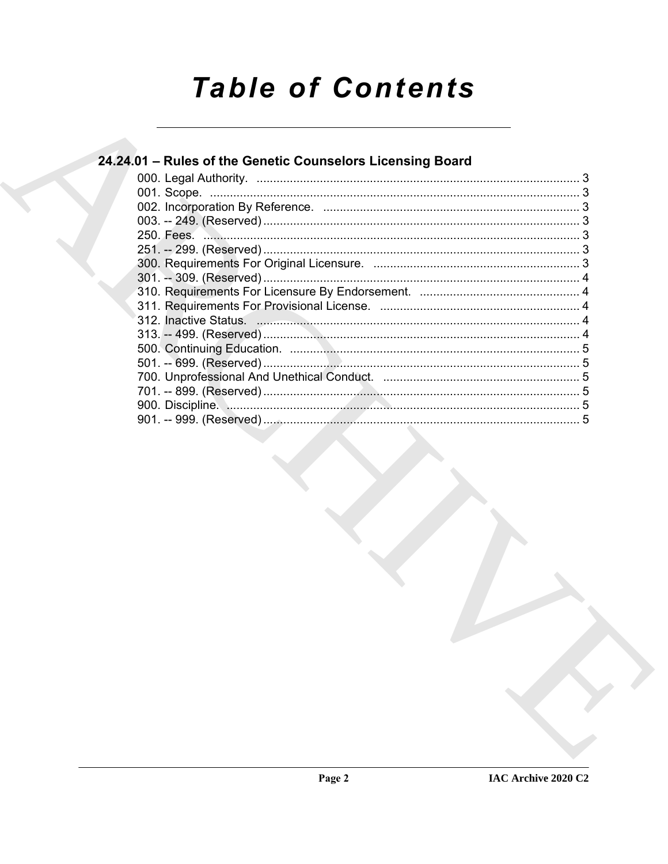# **Table of Contents**

| 24.24.01 - Rules of the Genetic Counselors Licensing Board |  |
|------------------------------------------------------------|--|
|                                                            |  |
|                                                            |  |
|                                                            |  |
|                                                            |  |
|                                                            |  |
|                                                            |  |
|                                                            |  |
|                                                            |  |
|                                                            |  |
|                                                            |  |
|                                                            |  |
|                                                            |  |
|                                                            |  |
|                                                            |  |
|                                                            |  |
|                                                            |  |
|                                                            |  |
|                                                            |  |
|                                                            |  |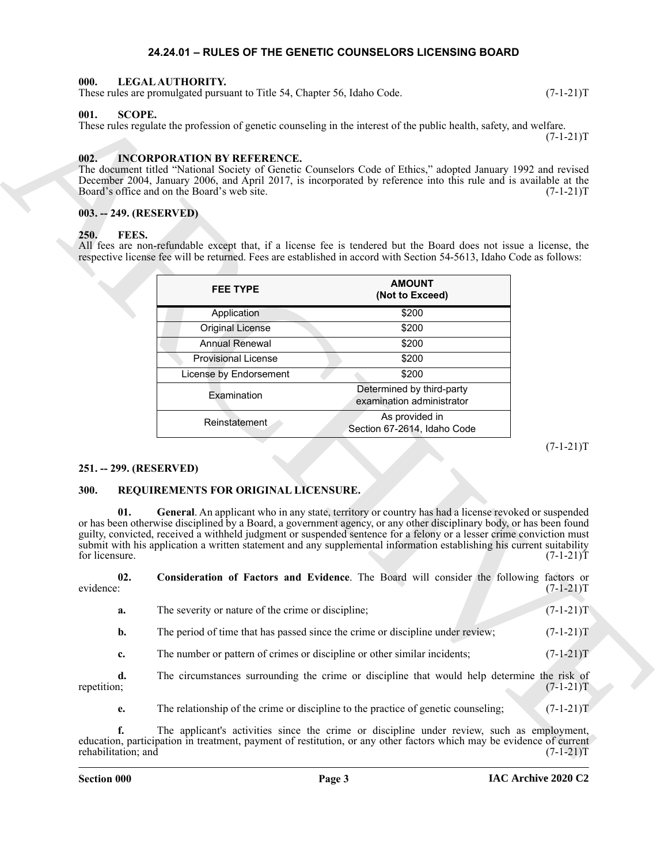#### <span id="page-2-10"></span>**24.24.01 – RULES OF THE GENETIC COUNSELORS LICENSING BOARD**

#### <span id="page-2-1"></span><span id="page-2-0"></span>**000. LEGAL AUTHORITY.**

These rules are promulgated pursuant to Title 54, Chapter 56, Idaho Code. (7-1-21)T

#### <span id="page-2-14"></span><span id="page-2-2"></span>**001. SCOPE.**

#### <span id="page-2-9"></span><span id="page-2-3"></span>**002. INCORPORATION BY REFERENCE.**

#### <span id="page-2-4"></span>**003. -- 249. (RESERVED)**

#### <span id="page-2-8"></span><span id="page-2-5"></span>**250. FEES.**

| <b>FEE TYPE</b>            | <b>AMOUNT</b><br>(Not to Exceed)                       |
|----------------------------|--------------------------------------------------------|
| Application                | \$200                                                  |
| <b>Original License</b>    | \$200                                                  |
| <b>Annual Renewal</b>      | \$200                                                  |
| <b>Provisional License</b> | \$200                                                  |
| License by Endorsement     | \$200                                                  |
| Examination                | Determined by third-party<br>examination administrator |
| Reinstatement              | As provided in<br>Section 67-2614, Idaho Code          |

#### <span id="page-2-6"></span>**251. -- 299. (RESERVED)**

#### <span id="page-2-13"></span><span id="page-2-12"></span><span id="page-2-11"></span><span id="page-2-7"></span>**300. REQUIREMENTS FOR ORIGINAL LICENSURE.**

| $003. - 249. (RESERVED)$<br>FEES.<br><b>250.</b> |                                                    |                                                                                                                                                                                                                                                                                                                                                                                                                                                                                                                                                                         |             |
|--------------------------------------------------|----------------------------------------------------|-------------------------------------------------------------------------------------------------------------------------------------------------------------------------------------------------------------------------------------------------------------------------------------------------------------------------------------------------------------------------------------------------------------------------------------------------------------------------------------------------------------------------------------------------------------------------|-------------|
|                                                  |                                                    | All fees are non-refundable except that, if a license fee is tendered but the Board does not issue a license, the<br>respective license fee will be returned. Fees are established in accord with Section 54-5613, Idaho Code as follows:                                                                                                                                                                                                                                                                                                                               |             |
|                                                  | <b>FEE TYPE</b>                                    | <b>AMOUNT</b><br>(Not to Exceed)                                                                                                                                                                                                                                                                                                                                                                                                                                                                                                                                        |             |
|                                                  | Application                                        | \$200                                                                                                                                                                                                                                                                                                                                                                                                                                                                                                                                                                   |             |
|                                                  | <b>Original License</b>                            | \$200                                                                                                                                                                                                                                                                                                                                                                                                                                                                                                                                                                   |             |
|                                                  | <b>Annual Renewal</b>                              | \$200                                                                                                                                                                                                                                                                                                                                                                                                                                                                                                                                                                   |             |
|                                                  | <b>Provisional License</b>                         | \$200                                                                                                                                                                                                                                                                                                                                                                                                                                                                                                                                                                   |             |
|                                                  | License by Endorsement                             | \$200                                                                                                                                                                                                                                                                                                                                                                                                                                                                                                                                                                   |             |
|                                                  | Examination                                        | Determined by third-party<br>examination administrator                                                                                                                                                                                                                                                                                                                                                                                                                                                                                                                  |             |
|                                                  | Reinstatement                                      | As provided in<br>Section 67-2614, Idaho Code                                                                                                                                                                                                                                                                                                                                                                                                                                                                                                                           |             |
| 251. -- 299. (RESERVED)<br>300.                  | REQUIREMENTS FOR ORIGINAL LICENSURE.               |                                                                                                                                                                                                                                                                                                                                                                                                                                                                                                                                                                         | $(7-1-21)T$ |
| 01.<br>for licensure.<br>02.                     |                                                    | General. An applicant who in any state, territory or country has had a license revoked or suspended<br>or has been otherwise disciplined by a Board, a government agency, or any other disciplinary body, or has been found<br>guilty, convicted, received a withheld judgment or suspended sentence for a felony or a lesser crime conviction must<br>submit with his application a written statement and any supplemental information establishing his current suitability<br>Consideration of Factors and Evidence. The Board will consider the following factors or | $(7-1-21)T$ |
| evidence:                                        |                                                    |                                                                                                                                                                                                                                                                                                                                                                                                                                                                                                                                                                         | $(7-1-21)T$ |
| a.                                               | The severity or nature of the crime or discipline; |                                                                                                                                                                                                                                                                                                                                                                                                                                                                                                                                                                         | $(7-1-21)T$ |
| b.                                               |                                                    | The period of time that has passed since the crime or discipline under review;                                                                                                                                                                                                                                                                                                                                                                                                                                                                                          | $(7-1-21)T$ |
|                                                  |                                                    | The number or pattern of crimes or discipline or other similar incidents;                                                                                                                                                                                                                                                                                                                                                                                                                                                                                               | $(7-1-21)T$ |
| c.                                               |                                                    |                                                                                                                                                                                                                                                                                                                                                                                                                                                                                                                                                                         |             |
| d.<br>repetition;                                |                                                    | The circumstances surrounding the crime or discipline that would help determine the risk of                                                                                                                                                                                                                                                                                                                                                                                                                                                                             | $(7-1-21)T$ |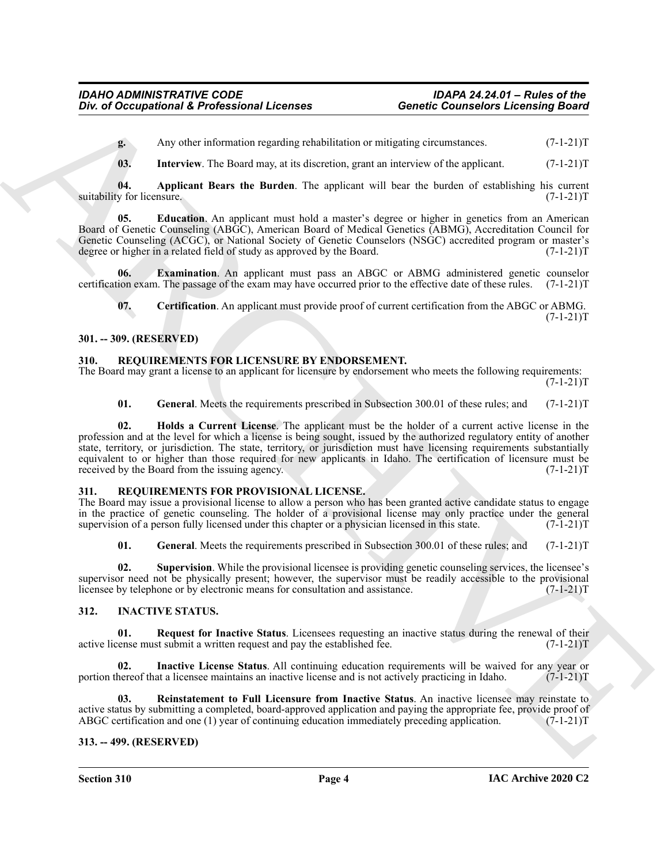<span id="page-3-15"></span>**g.** Any other information regarding rehabilitation or mitigating circumstances. (7-1-21)T

<span id="page-3-14"></span><span id="page-3-12"></span>**03.** Interview. The Board may, at its discretion, grant an interview of the applicant. (7-1-21)T

**04. Applicant Bears the Burden**. The applicant will bear the burden of establishing his current suitability for licensure.

**05. Education**. An applicant must hold a master's degree or higher in genetics from an American Board of Genetic Counseling (ABGC), American Board of Medical Genetics (ABMG), Accreditation Council for Genetic Counseling (ACGC), or National Society of Genetic Counselors (NSGC) accredited program or master's degree or higher in a related field of study as approved by the Board. (7-1-21) degree or higher in a related field of study as approved by the Board.

**06. Examination**. An applicant must pass an ABGC or ABMG administered genetic counselor certification exam. The passage of the exam may have occurred prior to the effective date of these rules. (7-1-21)T

<span id="page-3-13"></span>**07. Certification**. An applicant must provide proof of current certification from the ABGC or ABMG.  $(7-1-21)T$ 

#### <span id="page-3-0"></span>**301. -- 309. (RESERVED)**

#### <span id="page-3-9"></span><span id="page-3-1"></span>**310. REQUIREMENTS FOR LICENSURE BY ENDORSEMENT.**

The Board may grant a license to an applicant for licensure by endorsement who meets the following requirements:  $(7-1-21)T$ 

<span id="page-3-11"></span><span id="page-3-10"></span>**01.** General. Meets the requirements prescribed in Subsection 300.01 of these rules; and (7-1-21)T

Give of Occupational K. Professional Licenses<br>
Concerts Connection (Lechting Board<br>
A. Harvare K. The baseline probabilities or material procedure of the spin of the spin of the spin of the spin of the spin of the spin of **02. Holds a Current License**. The applicant must be the holder of a current active license in the profession and at the level for which a license is being sought, issued by the authorized regulatory entity of another state, territory, or jurisdiction. The state, territory, or jurisdiction must have licensing requirements substantially equivalent to or higher than those required for new applicants in Idaho. The certification of licensure must be received by the Board from the issuing agency. (7-1-21)T

#### <span id="page-3-16"></span><span id="page-3-2"></span>**311. REQUIREMENTS FOR PROVISIONAL LICENSE.**

The Board may issue a provisional license to allow a person who has been granted active candidate status to engage in the practice of genetic counseling. The holder of a provisional license may only practice under the general supervision of a person fully licensed under this chapter or a physician licensed in this state.  $(7-1-21)$ T

<span id="page-3-18"></span><span id="page-3-17"></span>**01.** General. Meets the requirements prescribed in Subsection 300.01 of these rules; and (7-1-21)T

**02. Supervision**. While the provisional licensee is providing genetic counseling services, the licensee's supervisor need not be physically present; however, the supervisor must be readily accessible to the provisional licensee by telephone or by electronic means for consultation and assistance. (7-1-21)T

#### <span id="page-3-5"></span><span id="page-3-3"></span>**312. INACTIVE STATUS.**

<span id="page-3-8"></span>**01.** Request for Inactive Status. Licensees requesting an inactive status during the renewal of their cense must submit a written request and pay the established fee.  $(7-1-21)$ active license must submit a written request and pay the established fee.

<span id="page-3-6"></span>**Inactive License Status**. All continuing education requirements will be waived for any year or at a licensee maintains an inactive license and is not actively practicing in Idaho. (7-1-21) portion thereof that a licensee maintains an inactive license and is not actively practicing in Idaho.

<span id="page-3-7"></span>**03. Reinstatement to Full Licensure from Inactive Status**. An inactive licensee may reinstate to active status by submitting a completed, board-approved application and paying the appropriate fee, provide proof of ABGC certification and one (1) year of continuing education immediately preceding application. (7-1-21)T ABGC certification and one (1) year of continuing education immediately preceding application.

#### <span id="page-3-4"></span>**313. -- 499. (RESERVED)**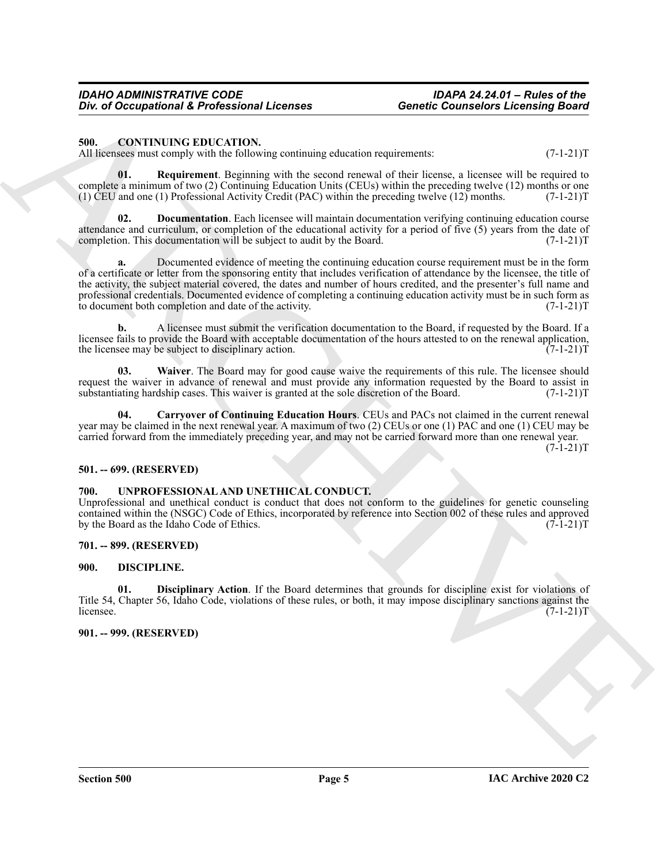#### *IDAHO ADMINISTRATIVE CODE IDAPA 24.24.01 – Rules of the*  **Div. of Occupational & Professional Licenses**

#### <span id="page-4-6"></span><span id="page-4-0"></span>**500. CONTINUING EDUCATION.**

All licensees must comply with the following continuing education requirements:  $(7-1-21)$ T

<span id="page-4-9"></span>**01. Requirement**. Beginning with the second renewal of their license, a licensee will be required to complete a minimum of two (2) Continuing Education Units (CEUs) within the preceding twelve (12) months or one<br>(1) CEU and one (1) Professional Activity Credit (PAC) within the preceding twelve (12) months. (7-1-21)T (1)  $\text{CEU}$  and one (1) Professional Activity Credit (PAC) within the preceding twelve (12) months.

<span id="page-4-8"></span>**02. Documentation**. Each licensee will maintain documentation verifying continuing education course attendance and curriculum, or completion of the educational activity for a period of five (5) years from the date of completion. This documentation will be subject to audit by the Board. (7-1-21) completion. This documentation will be subject to audit by the Board.

Giv. a) Occurrent de la proprieta de la messa de la messa de la messa de la messa de la messa de la messa de la messa de la messa de la messa de la messa de la messa de la messa de la messa de la messa de la messa de la m **a.** Documented evidence of meeting the continuing education course requirement must be in the form of a certificate or letter from the sponsoring entity that includes verification of attendance by the licensee, the title of the activity, the subject material covered, the dates and number of hours credited, and the presenter's full name and professional credentials. Documented evidence of completing a continuing education activity must be in such form as<br>to document both completion and date of the activity. (7-1-21) to document both completion and date of the activity.

**b.** A licensee must submit the verification documentation to the Board, if requested by the Board. If a licensee fails to provide the Board with acceptable documentation of the hours attested to on the renewal application, the licensee may be subject to disciplinary action. (7-1-21) the licensee may be subject to disciplinary action.

<span id="page-4-10"></span>**03. Waiver**. The Board may for good cause waive the requirements of this rule. The licensee should request the waiver in advance of renewal and must provide any information requested by the Board to assist in substantiating hardship cases. This waiver is granted at the sole discretion of the Board. (7-1-21) substantiating hardship cases. This waiver is granted at the sole discretion of the Board.

<span id="page-4-7"></span>**04. Carryover of Continuing Education Hours**. CEUs and PACs not claimed in the current renewal year may be claimed in the next renewal year. A maximum of two (2) CEUs or one (1) PAC and one (1) CEU may be carried forward from the immediately preceding year, and may not be carried forward more than one renewal year.  $(7-1-21)T$ 

#### <span id="page-4-1"></span>**501. -- 699. (RESERVED)**

#### <span id="page-4-13"></span><span id="page-4-2"></span>**700. UNPROFESSIONAL AND UNETHICAL CONDUCT.**

Unprofessional and unethical conduct is conduct that does not conform to the guidelines for genetic counseling contained within the (NSGC) Code of Ethics, incorporated by reference into Section 002 of these rules and approved<br>by the Board as the Idaho Code of Ethics. by the Board as the Idaho Code of Ethics.

#### <span id="page-4-3"></span>**701. -- 899. (RESERVED)**

#### <span id="page-4-11"></span><span id="page-4-4"></span>**900. DISCIPLINE.**

<span id="page-4-12"></span>**01. Disciplinary Action**. If the Board determines that grounds for discipline exist for violations of Title 54, Chapter 56, Idaho Code, violations of these rules, or both, it may impose disciplinary sanctions against the licensee. (7-1-21)T  $l$  (7-1-21)T

#### <span id="page-4-5"></span>**901. -- 999. (RESERVED)**